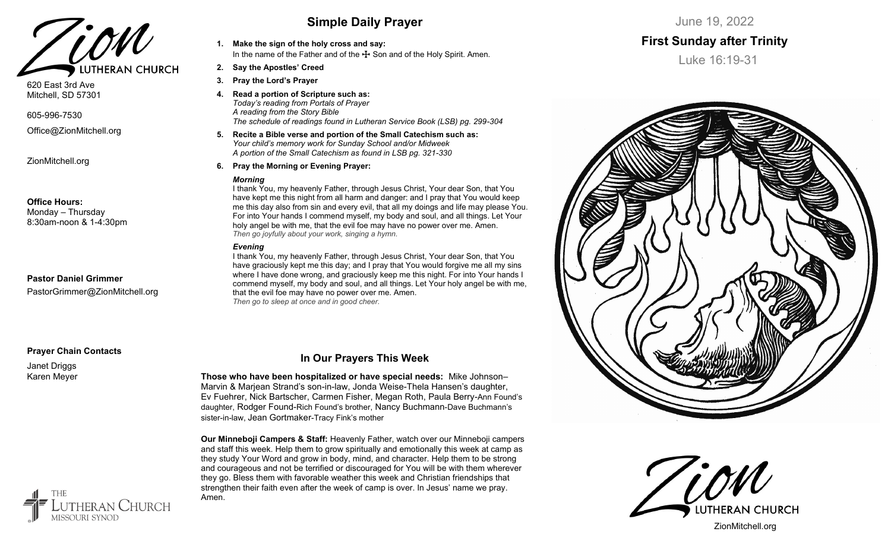

620 East 3rd Ave Mitchell, SD 57301

605-996-7530

Office@ZionMitchell.org

ZionMitchell.org

#### **Office Hours:**

Monday – Thursday 8:30am-noon & 1-4:30pm

### **Pastor Daniel Grimmer**

PastorGrimmer@ZionMitchell.org

### **Prayer Chain Contacts**

Janet Driggs Karen Meyer

**THE** 

`HURCH

## **Simple Daily Prayer**

- **1. Make the sign of the holy cross and say:** In the name of the Father and of the  $\bigstar$  Son and of the Holy Spirit. Amen.
- **2. Say the Apostles' Creed**
- **3. Pray the Lord's Prayer**
- **4. Read a portion of Scripture such as:** *Today's reading from Portals of Prayer A reading from the Story Bible The schedule of readings found in Lutheran Service Book (LSB) pg. 299-304*
- **5. Recite a Bible verse and portion of the Small Catechism such as:** *Your child's memory work for Sunday School and/or Midweek A portion of the Small Catechism as found in LSB pg. 321-330*
- **6. Pray the Morning or Evening Prayer:**

#### *Morning*

I thank You, my heavenly Father, through Jesus Christ, Your dear Son, that You have kept me this night from all harm and danger: and I pray that You would keep me this day also from sin and every evil, that all my doings and life may please You. For into Your hands I commend myself, my body and soul, and all things. Let Your holy angel be with me, that the evil foe may have no power over me. Amen. *Then go joyfully about your work, singing a hymn.*

#### *Evening*

I thank You, my heavenly Father, through Jesus Christ, Your dear Son, that You have graciously kept me this day; and I pray that You would forgive me all my sins where I have done wrong, and graciously keep me this night. For into Your hands I commend myself, my body and soul, and all things. Let Your holy angel be with me, that the evil foe may have no power over me. Amen. *Then go to sleep at once and in good cheer.*

### **In Our Prayers This Week**

**Those who have been hospitalized or have special needs:** Mike Johnson– Marvin & Marjean Strand's son-in-law, Jonda Weise-Thela Hansen's daughter, Ev Fuehrer, Nick Bartscher, Carmen Fisher, Megan Roth, Paula Berry-Ann Found's daughter, Rodger Found-Rich Found's brother, Nancy Buchmann-Dave Buchmann's sister-in-law, Jean Gortmaker-Tracy Fink's mother

**Our Minneboji Campers & Staff:** Heavenly Father, watch over our Minneboji campers and staff this week. Help them to grow spiritually and emotionally this week at camp as they study Your Word and grow in body, mind, and character. Help them to be strong and courageous and not be terrified or discouraged for You will be with them wherever they go. Bless them with favorable weather this week and Christian friendships that strengthen their faith even after the week of camp is over. In Jesus' name we pray. Amen.



## **First Sunday after Trinity**

Luke 16:19-31



**UTHERAN CHURCH** 

ZionMitchell.org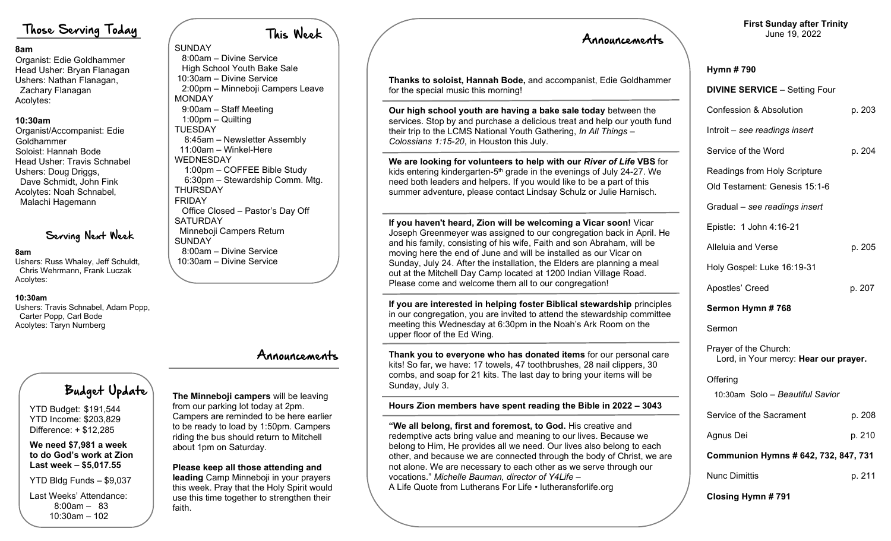## Those Serving Today

#### **8am**

Organist: Edie Goldhammer Head Usher: Bryan Flanagan Ushers: Nathan Flanagan, Zachary Flanagan Acolytes:

### **10:30am**

Organist/Accompanist: Edie Goldhammer Soloist: Hannah Bode Head Usher: Travis Schnabel Ushers: Doug Driggs, Dave Schmidt, John Fink Acolytes: Noah Schnabel, Malachi Hagemann

## Serving Next Week

#### **8am**

Ushers: Russ Whaley, Jeff Schuldt, Chris Wehrmann, Frank Luczak Acolytes:

### **10:30am**

Ushers: Travis Schnabel, Adam Popp, Carter Popp, Carl Bode Acolytes: Taryn Nurnberg

# Budget Update

YTD Budget: \$191,544 YTD Income: \$203,829 Difference: + \$12,285

**We need \$7,981 a week to do God's work at Zion Last week – \$5,017.55**

YTD Bldg Funds – \$9,037

Last Weeks' Attendance: 8:00am – 83 10:30am – 102

#### This Week SUNDAY 8:00am – Divine Service High School Youth Bake Sale 10:30am – Divine Service 2:00pm – Minneboji Campers Leave **MONDAY**  9:00am – Staff Meeting 1:00pm – Quilting **TUESDAY**  8:45am – Newsletter Assembly 11:00am – Winkel-Here WEDNESDAY 1:00pm – COFFEE Bible Study 6:30pm – Stewardship Comm. Mtg. **THURSDAY** FRIDAY Office Closed – Pastor's Day Off **SATURDAY**  Minneboji Campers Return SUNDAY 8:00am – Divine Service 10:30am – Divine Service

## Announcements

# **The Minneboji campers** will be leaving from our parking lot today at 2pm.

Campers are reminded to be here earlier to be ready to load by 1:50pm. Campers riding the bus should return to Mitchell about 1pm on Saturday.

## **Please keep all those attending and**

**leading** Camp Minneboji in your prayers this week. Pray that the Holy Spirit would use this time together to strengthen their faith.

|  | Announcements                                                                                                                                                                                                                                                                                                                                                                                                                                                                                    | June 19, 2022                                                                                                 |                  |  |
|--|--------------------------------------------------------------------------------------------------------------------------------------------------------------------------------------------------------------------------------------------------------------------------------------------------------------------------------------------------------------------------------------------------------------------------------------------------------------------------------------------------|---------------------------------------------------------------------------------------------------------------|------------------|--|
|  | Thanks to soloist, Hannah Bode, and accompanist, Edie Goldhammer<br>for the special music this morning!                                                                                                                                                                                                                                                                                                                                                                                          | Hymn #790<br><b>DIVINE SERVICE - Setting Four</b>                                                             |                  |  |
|  | Our high school youth are having a bake sale today between the<br>services. Stop by and purchase a delicious treat and help our youth fund<br>their trip to the LCMS National Youth Gathering, In All Things -<br>Colossians 1:15-20, in Houston this July.                                                                                                                                                                                                                                      | <b>Confession &amp; Absolution</b><br>Introit – see readings insert<br>Service of the Word                    | p. 203<br>p. 204 |  |
|  | We are looking for volunteers to help with our River of Life VBS for<br>kids entering kindergarten-5 <sup>th</sup> grade in the evenings of July 24-27. We<br>need both leaders and helpers. If you would like to be a part of this<br>summer adventure, please contact Lindsay Schulz or Julie Harnisch.                                                                                                                                                                                        | Readings from Holy Scripture<br>Old Testament: Genesis 15:1-6<br>Gradual - see readings insert                |                  |  |
|  | If you haven't heard, Zion will be welcoming a Vicar soon! Vicar<br>Joseph Greenmeyer was assigned to our congregation back in April. He<br>and his family, consisting of his wife, Faith and son Abraham, will be<br>moving here the end of June and will be installed as our Vicar on<br>Sunday, July 24. After the installation, the Elders are planning a meal<br>out at the Mitchell Day Camp located at 1200 Indian Village Road.<br>Please come and welcome them all to our congregation! | Epistle: 1 John 4:16-21<br><b>Alleluia and Verse</b><br>Holy Gospel: Luke 16:19-31<br>Apostles' Creed         | p. 205<br>p. 207 |  |
|  | If you are interested in helping foster Biblical stewardship principles<br>in our congregation, you are invited to attend the stewardship committee<br>meeting this Wednesday at 6:30pm in the Noah's Ark Room on the<br>upper floor of the Ed Wing.                                                                                                                                                                                                                                             | Sermon Hymn #768<br>Sermon                                                                                    |                  |  |
|  | Thank you to everyone who has donated items for our personal care<br>kits! So far, we have: 17 towels, 47 toothbrushes, 28 nail clippers, 30<br>combs, and soap for 21 kits. The last day to bring your items will be<br>Sunday, July 3.                                                                                                                                                                                                                                                         | Prayer of the Church:<br>Lord, in Your mercy: Hear our prayer.<br>Offering<br>10:30am Solo - Beautiful Savior |                  |  |
|  | Hours Zion members have spent reading the Bible in 2022 - 3043                                                                                                                                                                                                                                                                                                                                                                                                                                   | Service of the Sacrament                                                                                      | p. 208           |  |
|  | "We all belong, first and foremost, to God. His creative and<br>redemptive acts bring value and meaning to our lives. Because we<br>belong to Him, He provides all we need. Our lives also belong to each<br>other, and because we are connected through the body of Christ, we are<br>not alone. We are necessary to each other as we serve through our<br>vocations." Michelle Bauman, director of Y4Life -<br>A Life Quote from Lutherans For Life • lutheransforlife.org                     | Agnus Dei                                                                                                     | p. 210           |  |
|  |                                                                                                                                                                                                                                                                                                                                                                                                                                                                                                  | Communion Hymns # 642, 732, 847, 731                                                                          |                  |  |
|  |                                                                                                                                                                                                                                                                                                                                                                                                                                                                                                  | <b>Nunc Dimittis</b>                                                                                          | p. 211           |  |
|  |                                                                                                                                                                                                                                                                                                                                                                                                                                                                                                  | Closing Hymn #791                                                                                             |                  |  |

**First Sunday after Trinity**